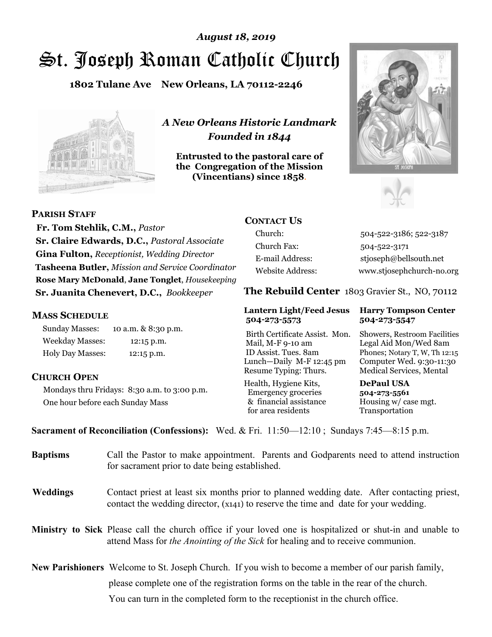# St. Joseph Roman Catholic Church *August 18, 2019*

**1802 Tulane Ave New Orleans, LA 70112-2246**



*A New Orleans Historic Landmark Founded in 1844* 

**Entrusted to the pastoral care of the Congregation of the Mission (Vincentians) since 1858**.





**PARISH STAFF**

 **Fr. Tom Stehlik, C.M.,** *Pastor* **Sr. Claire Edwards, D.C.,** *Pastoral Associate* **Gina Fulton,** *Receptionist, Wedding Director* **Tasheena Butler,** *Mission and Service Coordinator* **Rose Mary McDonald**, **Jane Tonglet**, *Housekeeping* **Sr. Juanita Chenevert, D.C.,** *Bookkeeper* 

### **MASS SCHEDULE**

Sunday Masses: 10 a.m. & 8:30 p.m. Weekday Masses: 12:15 p.m. Holy Day Masses: 12:15 p.m.

### **CHURCH OPEN**

Mondays thru Fridays: 8:30 a.m. to 3:00 p.m. One hour before each Sunday Mass

# **CONTACT US**

Church: 504-522-3186; 522-3187 Church Fax: 504-522-3171 E-mail Address: stjoseph@bellsouth.net Website Address: www.stjosephchurch-no.org

**The Rebuild Center** 1803 Gravier St., NO, 70112

#### **Lantern Light/Feed Jesus Harry Tompson Center 504-273-5573 504-273-5547**

Birth Certificate Assist. Mon. Showers, Restroom Facilities Mail, M-F 9-10 am Legal Aid Mon/Wed 8am ID Assist. Tues. 8am Phones; Notary T, W, Th 12:15 Lunch—Daily M-F 12:45 pm Computer Wed. 9:30-11:30 Resume Typing: Thurs. Medical Services, Mental

Health, Hygiene Kits, **DePaul USA**  Emergency groceries **504-273-5561** & financial assistance Housing w/ case mgt.<br>for area residents Transportation for area residents

**Sacrament of Reconciliation (Confessions):** Wed. & Fri. 11:50—12:10 ; Sundays 7:45—8:15 p.m.

| <b>Baptisms</b> | Call the Pastor to make appointment. Parents and Godparents need to attend instruction<br>for sacrament prior to date being established.                                                            |
|-----------------|-----------------------------------------------------------------------------------------------------------------------------------------------------------------------------------------------------|
| <b>Weddings</b> | Contact priest at least six months prior to planned wedding date. After contacting priest,<br>contact the wedding director, (x141) to reserve the time and date for your wedding.                   |
|                 | Ministry to Sick Please call the church office if your loved one is hospitalized or shut-in and unable to<br>attend Mass for <i>the Anointing of the Sick</i> for healing and to receive communion. |
|                 | New Parishioners Welcome to St. Joseph Church. If you wish to become a member of our parish family,                                                                                                 |
|                 | please complete one of the registration forms on the table in the rear of the church.                                                                                                               |
|                 | You can turn in the completed form to the reception is the church office.                                                                                                                           |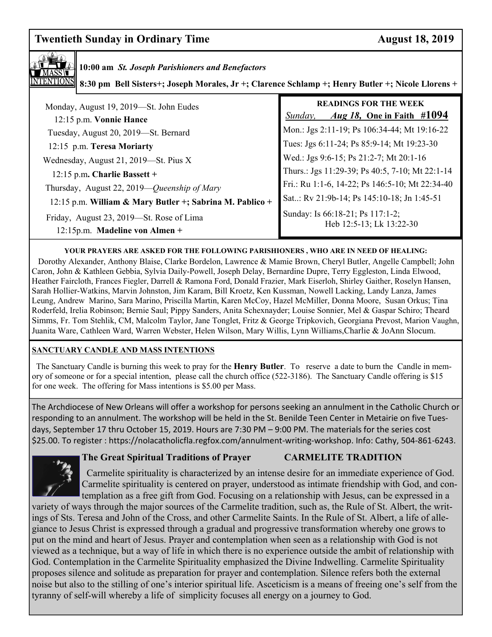# **Twentieth Sunday in Ordinary Time August 18, 2019**



## **10:00 am** *St. Joseph Parishioners and Benefactors*

**8:30 pm Bell Sisters+; Joseph Morales, Jr +; Clarence Schlamp +; Henry Butler +; Nicole Llorens +** 

| Monday, August 19, 2019-St. John Eudes<br>12:15 p.m. Vonnie Hance            | <b>READINGS FOR THE WEEK</b><br><i>Aug 18</i> , One in Faith #1094<br>Sunday, |
|------------------------------------------------------------------------------|-------------------------------------------------------------------------------|
| Tuesday, August 20, 2019-St. Bernard                                         | Mon.: Jgs 2:11-19; Ps 106:34-44; Mt 19:16-22                                  |
| 12:15 p.m. Teresa Moriarty                                                   | Tues: Jgs 6:11-24; Ps 85:9-14; Mt 19:23-30                                    |
| Wednesday, August 21, 2019—St. Pius X                                        | Wed.: Jgs 9:6-15; Ps 21:2-7; Mt 20:1-16                                       |
| 12:15 p.m. Charlie Bassett +                                                 | Thurs.: Jgs 11:29-39; Ps 40:5, 7-10; Mt 22:1-14                               |
| Thursday, August 22, 2019—Queenship of Mary                                  | Fri.: Ru 1:1-6, 14-22; Ps 146:5-10; Mt 22:34-40                               |
| 12:15 p.m. William & Mary Butler +; Sabrina M. Pablico +                     | Sat: Rv 21:9b-14; Ps 145:10-18; Jn 1:45-51                                    |
| Friday, August 23, 2019—St. Rose of Lima<br>$12:15p.m.$ Madeline von Almen + | Sunday: Is 66:18-21; Ps 117:1-2;<br>Heb 12:5-13; Lk 13:22-30                  |

#### **YOUR PRAYERS ARE ASKED FOR THE FOLLOWING PARISHIONERS , WHO ARE IN NEED OF HEALING:**

 Dorothy Alexander, Anthony Blaise, Clarke Bordelon, Lawrence & Mamie Brown, Cheryl Butler, Angelle Campbell; John Caron, John & Kathleen Gebbia, Sylvia Daily-Powell, Joseph Delay, Bernardine Dupre, Terry Eggleston, Linda Elwood, Heather Faircloth, Frances Fiegler, Darrell & Ramona Ford, Donald Frazier, Mark Eiserloh, Shirley Gaither, Roselyn Hansen, Sarah Hollier-Watkins, Marvin Johnston, Jim Karam, Bill Kroetz, Ken Kussman, Nowell Lacking, Landy Lanza, James Leung, Andrew Marino, Sara Marino, Priscilla Martin, Karen McCoy, Hazel McMiller, Donna Moore, Susan Orkus; Tina Roderfeld, Irelia Robinson; Bernie Saul; Pippy Sanders, Anita Schexnayder; Louise Sonnier, Mel & Gaspar Schiro; Theard Simms, Fr. Tom Stehlik, CM, Malcolm Taylor, Jane Tonglet, Fritz & George Tripkovich, Georgiana Prevost, Marion Vaughn, Juanita Ware, Cathleen Ward, Warren Webster, Helen Wilson, Mary Willis, Lynn Williams,Charlie & JoAnn Slocum.

#### **SANCTUARY CANDLE AND MASS INTENTIONS**

 The Sanctuary Candle is burning this week to pray for the **Henry Butler**. To reserve a date to burn the Candle in memory of someone or for a special intention, please call the church office (522-3186). The Sanctuary Candle offering is \$15 for one week. The offering for Mass intentions is \$5.00 per Mass.

 \$25.00. To register : https://nolacatholicfla.regfox.com/annulment-writing-workshop. Info: Cathy, 504-861-6243. The Archdiocese of New Orleans will offer a workshop for persons seeking an annulment in the Catholic Church or responding to an annulment. The workshop will be held in the St. Benilde Teen Center in Metairie on five Tuesdays, September 17 thru October 15, 2019. Hours are 7:30 PM – 9:00 PM. The materials for the series cost



#### **The Great Spiritual Traditions of Prayer CARMELITE TRADITION**

Carmelite spirituality is characterized by an intense desire for an immediate experience of God. Carmelite spirituality is centered on prayer, understood as intimate friendship with God, and contemplation as a free gift from God. Focusing on a relationship with Jesus, can be expressed in a

variety of ways through the major sources of the Carmelite tradition, such as, the Rule of St. Albert, the writings of Sts. Teresa and John of the Cross, and other Carmelite Saints. In the Rule of St. Albert, a life of allegiance to Jesus Christ is expressed through a gradual and progressive transformation whereby one grows to put on the mind and heart of Jesus. Prayer and contemplation when seen as a relationship with God is not viewed as a technique, but a way of life in which there is no experience outside the ambit of relationship with God. Contemplation in the Carmelite Spirituality emphasized the Divine Indwelling. Carmelite Spirituality proposes silence and solitude as preparation for prayer and contemplation. Silence refers both the external noise but also to the stilling of one's interior spiritual life. Asceticism is a means of freeing one's self from the tyranny of self-will whereby a life of simplicity focuses all energy on a journey to God.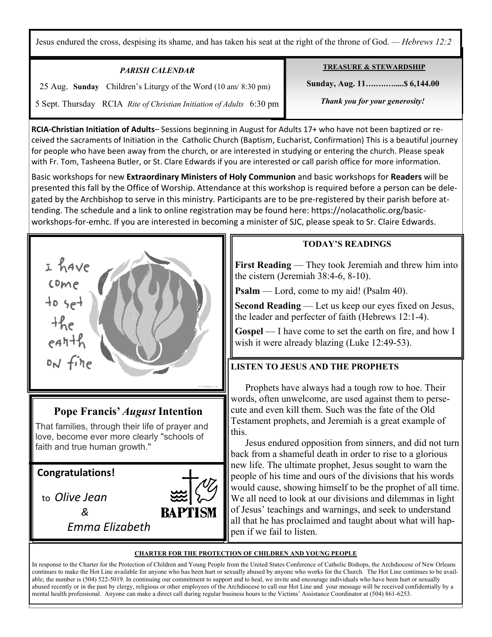Jesus endured the cross, despising its shame, and has taken his seat at the right of the throne of God. *— Hebrews 12:2*

| <b>PARISH CALENDAR</b>                                               | <b>TREASURE &amp; STEWARDSHIP</b> |
|----------------------------------------------------------------------|-----------------------------------|
| 25 Aug. Sunday Children's Liturgy of the Word (10 am/8:30 pm)        | Sunday, Aug. 11 \$6,144.00        |
| 5 Sept. Thursday RCIA Rite of Christian Initiation of Adults 6:30 pm | Thank you for your generosity!    |

**RCIA-Christian Initiation of Adults**– Sessions beginning in August for Adults 17+ who have not been baptized or received the sacraments of Initiation in the Catholic Church (Baptism, Eucharist, Confirmation) This is a beautiful journey for people who have been away from the church, or are interested in studying or entering the church. Please speak with Fr. Tom, Tasheena Butler, or St. Clare Edwards if you are interested or call parish office for more information.

Basic workshops for new **Extraordinary Ministers of Holy Communion** and basic workshops for **Readers** will be presented this fall by the Office of Worship. Attendance at this workshop is required before a person can be delegated by the Archbishop to serve in this ministry. Participants are to be pre-registered by their parish before attending. The schedule and a link to online registration may be found here: https://nolacatholic.org/basicworkshops-for-emhc. If you are interested in becoming a minister of SJC, please speak to Sr. Claire Edwards.



love, become ever more clearly "schools of faith and true human growth."

**Congratulations!** 

Ξ

to *Olive Jean* 

 *&* 

*Emma Elizabeth* 



### **TODAY'S READINGS**

**First Reading** — They took Jeremiah and threw him into the cistern (Jeremiah 38:4-6, 8-10).

**Psalm** — Lord, come to my aid! (Psalm 40).

**Second Reading** — Let us keep our eyes fixed on Jesus, the leader and perfecter of faith (Hebrews 12:1-4).

**Gospel** — I have come to set the earth on fire, and how I wish it were already blazing (Luke 12:49-53).

# **LISTEN TO JESUS AND THE PROPHETS**

 Prophets have always had a tough row to hoe. Their words, often unwelcome, are used against them to persecute and even kill them. Such was the fate of the Old Testament prophets, and Jeremiah is a great example of this.

 Jesus endured opposition from sinners, and did not turn back from a shameful death in order to rise to a glorious new life. The ultimate prophet, Jesus sought to warn the people of his time and ours of the divisions that his words would cause, showing himself to be the prophet of all time. We all need to look at our divisions and dilemmas in light of Jesus' teachings and warnings, and seek to understand all that he has proclaimed and taught about what will happen if we fail to listen.

#### **CHARTER FOR THE PROTECTION OF CHILDREN AND YOUNG PEOPLE**

In response to the Charter for the Protection of Children and Young People from the United States Conference of Catholic Bishops, the Archdiocese of New Orleans continues to make the Hot Line available for anyone who has been hurt or sexually abused by anyone who works for the Church. The Hot Line continues to be available; the number is (504) 522-5019. In continuing our commitment to support and to heal, we invite and encourage individuals who have been hurt or sexually abused recently or in the past by clergy, religious or other employees of the Archdiocese to call our Hot Line and your message will be received confidentially by a mental health professional. Anyone can make a direct call during regular business hours to the Victims' Assistance Coordinator at (504) 861-6253.